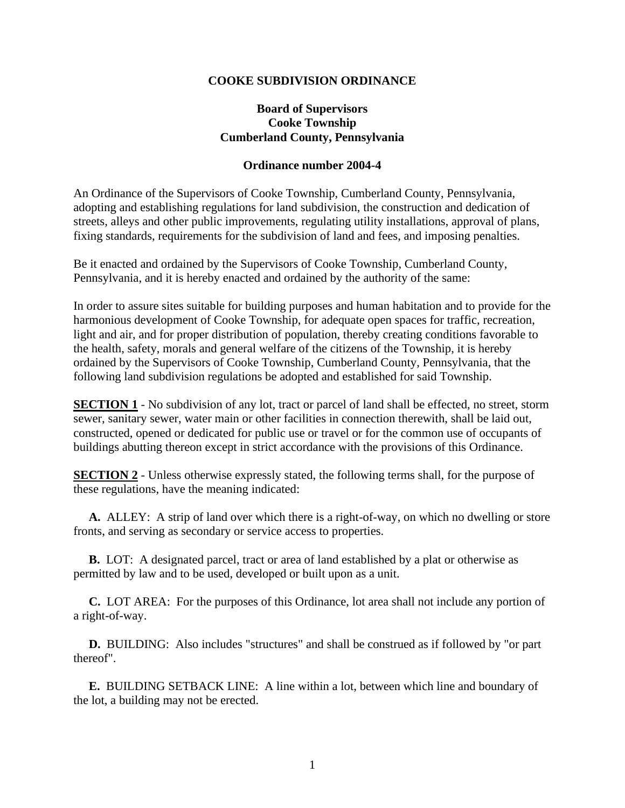## **COOKE SUBDIVISION ORDINANCE**

# **Board of Supervisors Cooke Township Cumberland County, Pennsylvania**

#### **Ordinance number 2004-4**

An Ordinance of the Supervisors of Cooke Township, Cumberland County, Pennsylvania, adopting and establishing regulations for land subdivision, the construction and dedication of streets, alleys and other public improvements, regulating utility installations, approval of plans, fixing standards, requirements for the subdivision of land and fees, and imposing penalties.

Be it enacted and ordained by the Supervisors of Cooke Township, Cumberland County, Pennsylvania, and it is hereby enacted and ordained by the authority of the same:

In order to assure sites suitable for building purposes and human habitation and to provide for the harmonious development of Cooke Township, for adequate open spaces for traffic, recreation, light and air, and for proper distribution of population, thereby creating conditions favorable to the health, safety, morals and general welfare of the citizens of the Township, it is hereby ordained by the Supervisors of Cooke Township, Cumberland County, Pennsylvania, that the following land subdivision regulations be adopted and established for said Township.

**SECTION 1** - No subdivision of any lot, tract or parcel of land shall be effected, no street, storm sewer, sanitary sewer, water main or other facilities in connection therewith, shall be laid out, constructed, opened or dedicated for public use or travel or for the common use of occupants of buildings abutting thereon except in strict accordance with the provisions of this Ordinance.

**SECTION 2** - Unless otherwise expressly stated, the following terms shall, for the purpose of these regulations, have the meaning indicated:

 **A.** ALLEY: A strip of land over which there is a right-of-way, on which no dwelling or store fronts, and serving as secondary or service access to properties.

 **B.** LOT: A designated parcel, tract or area of land established by a plat or otherwise as permitted by law and to be used, developed or built upon as a unit.

 **C.** LOT AREA: For the purposes of this Ordinance, lot area shall not include any portion of a right-of-way.

 **D.** BUILDING: Also includes "structures" and shall be construed as if followed by "or part thereof".

 **E.** BUILDING SETBACK LINE: A line within a lot, between which line and boundary of the lot, a building may not be erected.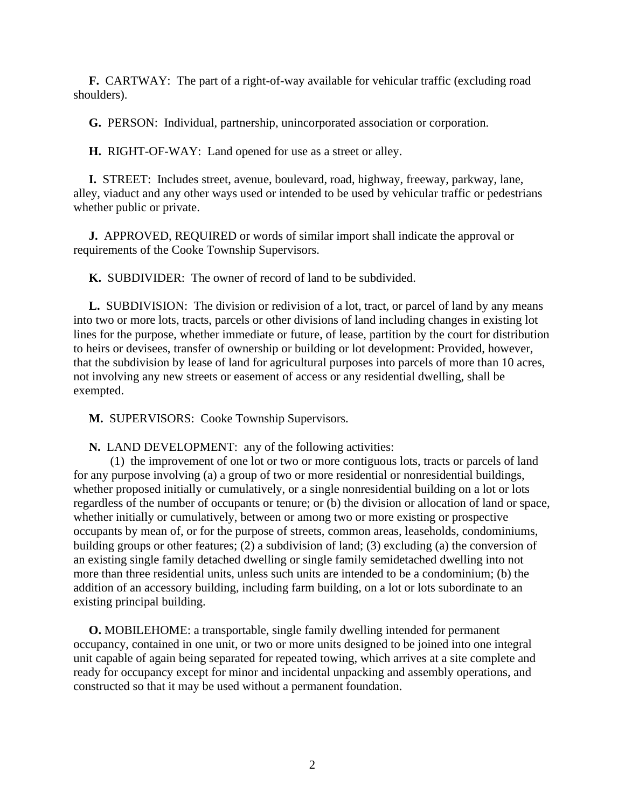**F.** CARTWAY: The part of a right-of-way available for vehicular traffic (excluding road shoulders).

**G.** PERSON: Individual, partnership, unincorporated association or corporation.

**H.** RIGHT-OF-WAY: Land opened for use as a street or alley.

 **I.** STREET: Includes street, avenue, boulevard, road, highway, freeway, parkway, lane, alley, viaduct and any other ways used or intended to be used by vehicular traffic or pedestrians whether public or private.

 **J.** APPROVED, REQUIRED or words of similar import shall indicate the approval or requirements of the Cooke Township Supervisors.

**K.** SUBDIVIDER: The owner of record of land to be subdivided.

 **L.** SUBDIVISION: The division or redivision of a lot, tract, or parcel of land by any means into two or more lots, tracts, parcels or other divisions of land including changes in existing lot lines for the purpose, whether immediate or future, of lease, partition by the court for distribution to heirs or devisees, transfer of ownership or building or lot development: Provided, however, that the subdivision by lease of land for agricultural purposes into parcels of more than 10 acres, not involving any new streets or easement of access or any residential dwelling, shall be exempted.

**M.** SUPERVISORS: Cooke Township Supervisors.

**N.** LAND DEVELOPMENT: any of the following activities:

(1) the improvement of one lot or two or more contiguous lots, tracts or parcels of land for any purpose involving (a) a group of two or more residential or nonresidential buildings, whether proposed initially or cumulatively, or a single nonresidential building on a lot or lots regardless of the number of occupants or tenure; or (b) the division or allocation of land or space, whether initially or cumulatively, between or among two or more existing or prospective occupants by mean of, or for the purpose of streets, common areas, leaseholds, condominiums, building groups or other features; (2) a subdivision of land; (3) excluding (a) the conversion of an existing single family detached dwelling or single family semidetached dwelling into not more than three residential units, unless such units are intended to be a condominium; (b) the addition of an accessory building, including farm building, on a lot or lots subordinate to an existing principal building.

 **O.** MOBILEHOME: a transportable, single family dwelling intended for permanent occupancy, contained in one unit, or two or more units designed to be joined into one integral unit capable of again being separated for repeated towing, which arrives at a site complete and ready for occupancy except for minor and incidental unpacking and assembly operations, and constructed so that it may be used without a permanent foundation.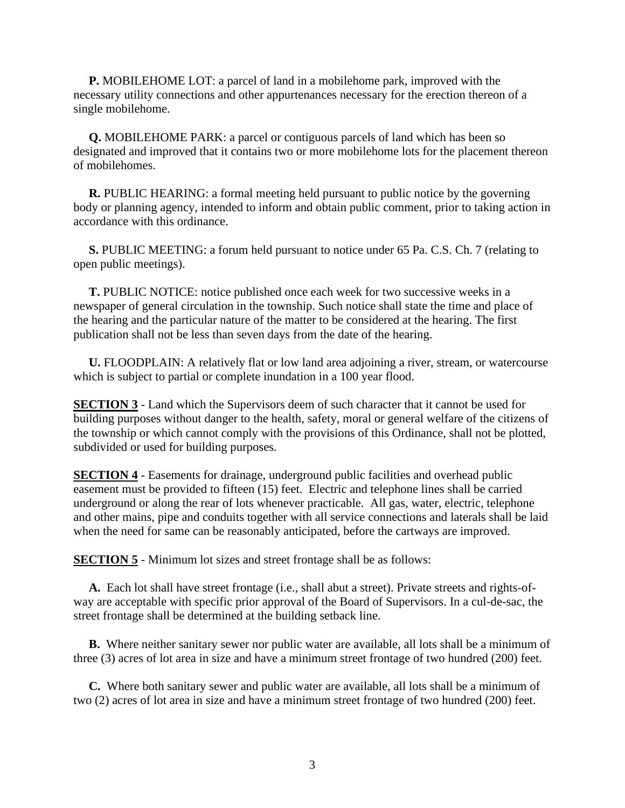**P.** MOBILEHOME LOT: a parcel of land in a mobilehome park, improved with the necessary utility connections and other appurtenances necessary for the erection thereon of a single mobilehome.

 **Q.** MOBILEHOME PARK: a parcel or contiguous parcels of land which has been so designated and improved that it contains two or more mobilehome lots for the placement thereon of mobilehomes.

 **R.** PUBLIC HEARING: a formal meeting held pursuant to public notice by the governing body or planning agency, intended to inform and obtain public comment, prior to taking action in accordance with this ordinance.

 **S.** PUBLIC MEETING: a forum held pursuant to notice under 65 Pa. C.S. Ch. 7 (relating to open public meetings).

 **T.** PUBLIC NOTICE: notice published once each week for two successive weeks in a newspaper of general circulation in the township. Such notice shall state the time and place of the hearing and the particular nature of the matter to be considered at the hearing. The first publication shall not be less than seven days from the date of the hearing.

 **U.** FLOODPLAIN: A relatively flat or low land area adjoining a river, stream, or watercourse which is subject to partial or complete inundation in a 100 year flood.

**SECTION 3** - Land which the Supervisors deem of such character that it cannot be used for building purposes without danger to the health, safety, moral or general welfare of the citizens of the township or which cannot comply with the provisions of this Ordinance, shall not be plotted, subdivided or used for building purposes.

**SECTION 4** - Easements for drainage, underground public facilities and overhead public easement must be provided to fifteen (15) feet. Electric and telephone lines shall be carried underground or along the rear of lots whenever practicable. All gas, water, electric, telephone and other mains, pipe and conduits together with all service connections and laterals shall be laid when the need for same can be reasonably anticipated, before the cartways are improved.

**SECTION 5** - Minimum lot sizes and street frontage shall be as follows:

 **A.** Each lot shall have street frontage (i.e., shall abut a street). Private streets and rights-ofway are acceptable with specific prior approval of the Board of Supervisors. In a cul-de-sac, the street frontage shall be determined at the building setback line.

 **B.** Where neither sanitary sewer nor public water are available, all lots shall be a minimum of three (3) acres of lot area in size and have a minimum street frontage of two hundred (200) feet.

 **C.** Where both sanitary sewer and public water are available, all lots shall be a minimum of two (2) acres of lot area in size and have a minimum street frontage of two hundred (200) feet.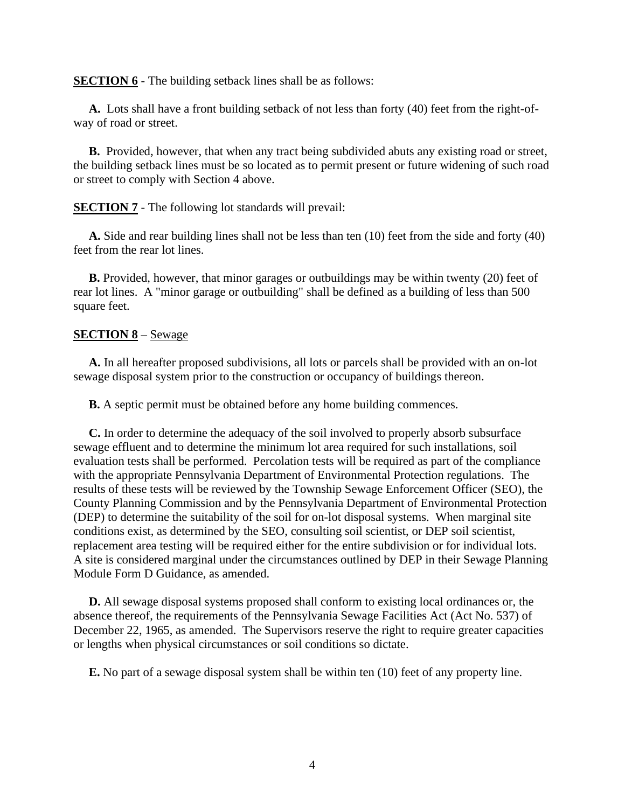**SECTION 6** - The building setback lines shall be as follows:

 **A.** Lots shall have a front building setback of not less than forty (40) feet from the right-ofway of road or street.

 **B.** Provided, however, that when any tract being subdivided abuts any existing road or street, the building setback lines must be so located as to permit present or future widening of such road or street to comply with Section 4 above.

**SECTION 7** - The following lot standards will prevail:

 **A.** Side and rear building lines shall not be less than ten (10) feet from the side and forty (40) feet from the rear lot lines.

 **B.** Provided, however, that minor garages or outbuildings may be within twenty (20) feet of rear lot lines. A "minor garage or outbuilding" shall be defined as a building of less than 500 square feet.

#### **SECTION 8** – Sewage

 **A.** In all hereafter proposed subdivisions, all lots or parcels shall be provided with an on-lot sewage disposal system prior to the construction or occupancy of buildings thereon.

**B.** A septic permit must be obtained before any home building commences.

 **C.** In order to determine the adequacy of the soil involved to properly absorb subsurface sewage effluent and to determine the minimum lot area required for such installations, soil evaluation tests shall be performed. Percolation tests will be required as part of the compliance with the appropriate Pennsylvania Department of Environmental Protection regulations. The results of these tests will be reviewed by the Township Sewage Enforcement Officer (SEO), the County Planning Commission and by the Pennsylvania Department of Environmental Protection (DEP) to determine the suitability of the soil for on-lot disposal systems. When marginal site conditions exist, as determined by the SEO, consulting soil scientist, or DEP soil scientist, replacement area testing will be required either for the entire subdivision or for individual lots. A site is considered marginal under the circumstances outlined by DEP in their Sewage Planning Module Form D Guidance, as amended.

 **D.** All sewage disposal systems proposed shall conform to existing local ordinances or, the absence thereof, the requirements of the Pennsylvania Sewage Facilities Act (Act No. 537) of December 22, 1965, as amended. The Supervisors reserve the right to require greater capacities or lengths when physical circumstances or soil conditions so dictate.

**E.** No part of a sewage disposal system shall be within ten (10) feet of any property line.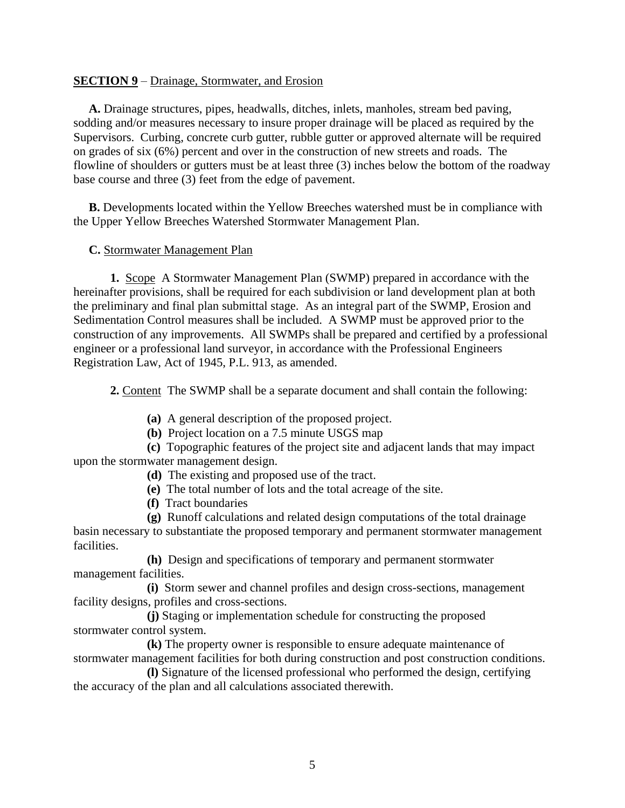# **SECTION 9** – Drainage, Stormwater, and Erosion

 **A.** Drainage structures, pipes, headwalls, ditches, inlets, manholes, stream bed paving, sodding and/or measures necessary to insure proper drainage will be placed as required by the Supervisors. Curbing, concrete curb gutter, rubble gutter or approved alternate will be required on grades of six (6%) percent and over in the construction of new streets and roads. The flowline of shoulders or gutters must be at least three (3) inches below the bottom of the roadway base course and three (3) feet from the edge of pavement.

 **B.** Developments located within the Yellow Breeches watershed must be in compliance with the Upper Yellow Breeches Watershed Stormwater Management Plan.

# **C.** Stormwater Management Plan

**1.** Scope A Stormwater Management Plan (SWMP) prepared in accordance with the hereinafter provisions, shall be required for each subdivision or land development plan at both the preliminary and final plan submittal stage. As an integral part of the SWMP, Erosion and Sedimentation Control measures shall be included. A SWMP must be approved prior to the construction of any improvements. All SWMPs shall be prepared and certified by a professional engineer or a professional land surveyor, in accordance with the Professional Engineers Registration Law, Act of 1945, P.L. 913, as amended.

**2.** Content The SWMP shall be a separate document and shall contain the following:

**(a)** A general description of the proposed project.

**(b)** Project location on a 7.5 minute USGS map

**(c)** Topographic features of the project site and adjacent lands that may impact upon the stormwater management design.

**(d)** The existing and proposed use of the tract.

**(e)** The total number of lots and the total acreage of the site.

**(f)** Tract boundaries

**(g)** Runoff calculations and related design computations of the total drainage basin necessary to substantiate the proposed temporary and permanent stormwater management facilities.

**(h)** Design and specifications of temporary and permanent stormwater management facilities.

**(i)** Storm sewer and channel profiles and design cross-sections, management facility designs, profiles and cross-sections.

**(j)** Staging or implementation schedule for constructing the proposed stormwater control system.

**(k)** The property owner is responsible to ensure adequate maintenance of stormwater management facilities for both during construction and post construction conditions.

**(l)** Signature of the licensed professional who performed the design, certifying the accuracy of the plan and all calculations associated therewith.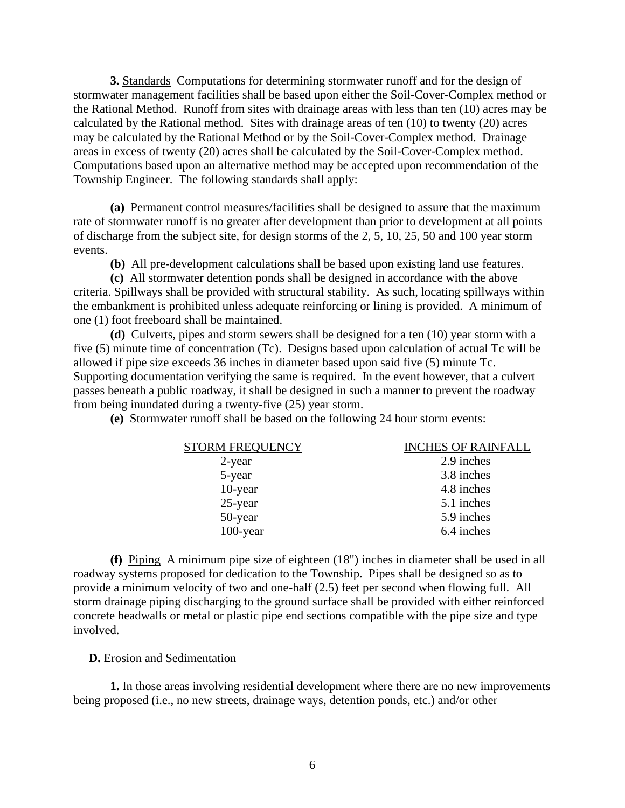**3.** Standards Computations for determining stormwater runoff and for the design of stormwater management facilities shall be based upon either the Soil-Cover-Complex method or the Rational Method. Runoff from sites with drainage areas with less than ten (10) acres may be calculated by the Rational method. Sites with drainage areas of ten (10) to twenty (20) acres may be calculated by the Rational Method or by the Soil-Cover-Complex method. Drainage areas in excess of twenty (20) acres shall be calculated by the Soil-Cover-Complex method. Computations based upon an alternative method may be accepted upon recommendation of the Township Engineer. The following standards shall apply:

**(a)** Permanent control measures/facilities shall be designed to assure that the maximum rate of stormwater runoff is no greater after development than prior to development at all points of discharge from the subject site, for design storms of the 2, 5, 10, 25, 50 and 100 year storm events.

**(b)** All pre-development calculations shall be based upon existing land use features.

**(c)** All stormwater detention ponds shall be designed in accordance with the above criteria. Spillways shall be provided with structural stability. As such, locating spillways within the embankment is prohibited unless adequate reinforcing or lining is provided. A minimum of one (1) foot freeboard shall be maintained.

**(d)** Culverts, pipes and storm sewers shall be designed for a ten (10) year storm with a five (5) minute time of concentration (Tc). Designs based upon calculation of actual Tc will be allowed if pipe size exceeds 36 inches in diameter based upon said five (5) minute Tc. Supporting documentation verifying the same is required. In the event however, that a culvert passes beneath a public roadway, it shall be designed in such a manner to prevent the roadway from being inundated during a twenty-five (25) year storm.

**(e)** Stormwater runoff shall be based on the following 24 hour storm events:

| <b>STORM FREQUENCY</b> | <b>INCHES OF RAINFALL</b> |
|------------------------|---------------------------|
| $2$ -year              | 2.9 inches                |
| 5-year                 | 3.8 inches                |
| 10-year                | 4.8 inches                |
| 25-year                | 5.1 inches                |
| 50-year                | 5.9 inches                |
| $100$ -year            | 6.4 inches                |
|                        |                           |

**(f)** Piping A minimum pipe size of eighteen (18") inches in diameter shall be used in all roadway systems proposed for dedication to the Township. Pipes shall be designed so as to provide a minimum velocity of two and one-half (2.5) feet per second when flowing full. All storm drainage piping discharging to the ground surface shall be provided with either reinforced concrete headwalls or metal or plastic pipe end sections compatible with the pipe size and type involved.

#### **D.** Erosion and Sedimentation

**1.** In those areas involving residential development where there are no new improvements being proposed (i.e., no new streets, drainage ways, detention ponds, etc.) and/or other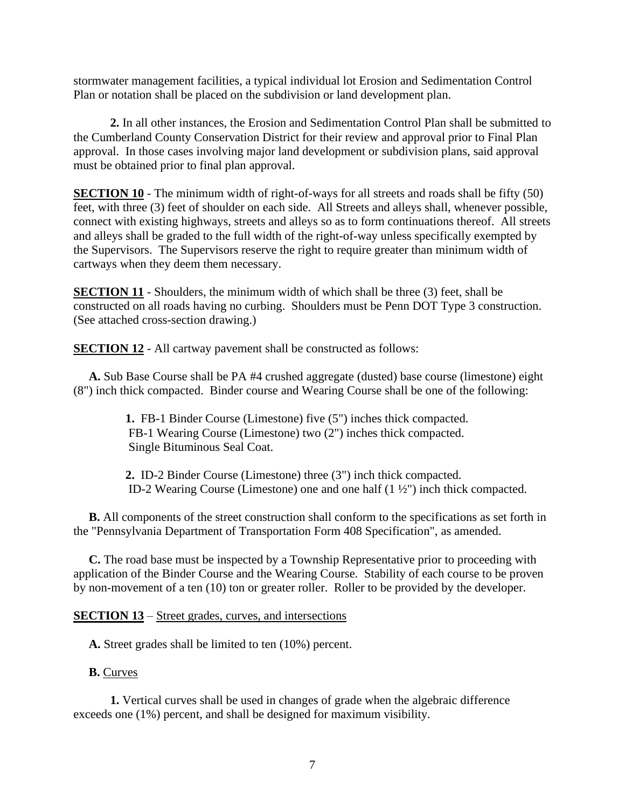stormwater management facilities, a typical individual lot Erosion and Sedimentation Control Plan or notation shall be placed on the subdivision or land development plan.

**2.** In all other instances, the Erosion and Sedimentation Control Plan shall be submitted to the Cumberland County Conservation District for their review and approval prior to Final Plan approval. In those cases involving major land development or subdivision plans, said approval must be obtained prior to final plan approval.

**SECTION 10** - The minimum width of right-of-ways for all streets and roads shall be fifty (50) feet, with three (3) feet of shoulder on each side. All Streets and alleys shall, whenever possible, connect with existing highways, streets and alleys so as to form continuations thereof. All streets and alleys shall be graded to the full width of the right-of-way unless specifically exempted by the Supervisors. The Supervisors reserve the right to require greater than minimum width of cartways when they deem them necessary.

**SECTION 11** - Shoulders, the minimum width of which shall be three (3) feet, shall be constructed on all roads having no curbing. Shoulders must be Penn DOT Type 3 construction. (See attached cross-section drawing.)

**SECTION 12** - All cartway pavement shall be constructed as follows:

 **A.** Sub Base Course shall be PA #4 crushed aggregate (dusted) base course (limestone) eight (8") inch thick compacted. Binder course and Wearing Course shall be one of the following:

> **1.** FB-1 Binder Course (Limestone) five (5") inches thick compacted. FB-1 Wearing Course (Limestone) two (2") inches thick compacted. Single Bituminous Seal Coat.

 **2.** ID-2 Binder Course (Limestone) three (3") inch thick compacted. ID-2 Wearing Course (Limestone) one and one half (1 ½") inch thick compacted.

 **B.** All components of the street construction shall conform to the specifications as set forth in the "Pennsylvania Department of Transportation Form 408 Specification", as amended.

 **C.** The road base must be inspected by a Township Representative prior to proceeding with application of the Binder Course and the Wearing Course. Stability of each course to be proven by non-movement of a ten (10) ton or greater roller. Roller to be provided by the developer.

# **SECTION 13** – Street grades, curves, and intersections

**A.** Street grades shall be limited to ten (10%) percent.

### **B.** Curves

**1.** Vertical curves shall be used in changes of grade when the algebraic difference exceeds one (1%) percent, and shall be designed for maximum visibility.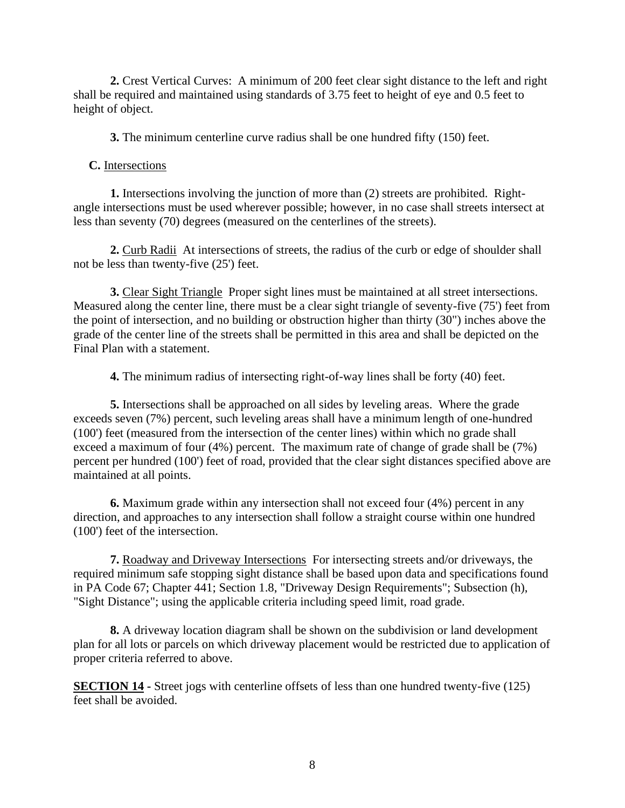**2.** Crest Vertical Curves: A minimum of 200 feet clear sight distance to the left and right shall be required and maintained using standards of 3.75 feet to height of eye and 0.5 feet to height of object.

**3.** The minimum centerline curve radius shall be one hundred fifty (150) feet.

**C.** Intersections

**1.** Intersections involving the junction of more than (2) streets are prohibited. Rightangle intersections must be used wherever possible; however, in no case shall streets intersect at less than seventy (70) degrees (measured on the centerlines of the streets).

**2.** Curb Radii At intersections of streets, the radius of the curb or edge of shoulder shall not be less than twenty-five (25') feet.

**3.** Clear Sight Triangle Proper sight lines must be maintained at all street intersections. Measured along the center line, there must be a clear sight triangle of seventy-five (75') feet from the point of intersection, and no building or obstruction higher than thirty (30") inches above the grade of the center line of the streets shall be permitted in this area and shall be depicted on the Final Plan with a statement.

**4.** The minimum radius of intersecting right-of-way lines shall be forty (40) feet.

**5.** Intersections shall be approached on all sides by leveling areas. Where the grade exceeds seven (7%) percent, such leveling areas shall have a minimum length of one-hundred (100') feet (measured from the intersection of the center lines) within which no grade shall exceed a maximum of four (4%) percent. The maximum rate of change of grade shall be (7%) percent per hundred (100') feet of road, provided that the clear sight distances specified above are maintained at all points.

**6.** Maximum grade within any intersection shall not exceed four (4%) percent in any direction, and approaches to any intersection shall follow a straight course within one hundred (100') feet of the intersection.

**7.** Roadway and Driveway Intersections For intersecting streets and/or driveways, the required minimum safe stopping sight distance shall be based upon data and specifications found in PA Code 67; Chapter 441; Section 1.8, "Driveway Design Requirements"; Subsection (h), "Sight Distance"; using the applicable criteria including speed limit, road grade.

**8.** A driveway location diagram shall be shown on the subdivision or land development plan for all lots or parcels on which driveway placement would be restricted due to application of proper criteria referred to above.

**SECTION 14 -** Street jogs with centerline offsets of less than one hundred twenty-five (125) feet shall be avoided.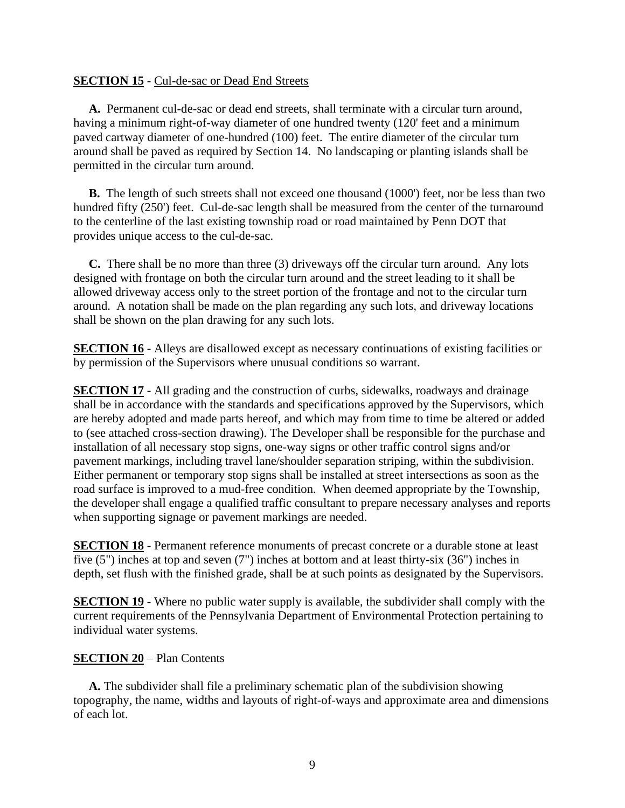# **SECTION 15** - Cul-de-sac or Dead End Streets

 **A.** Permanent cul-de-sac or dead end streets, shall terminate with a circular turn around, having a minimum right-of-way diameter of one hundred twenty (120' feet and a minimum paved cartway diameter of one-hundred (100) feet. The entire diameter of the circular turn around shall be paved as required by Section 14. No landscaping or planting islands shall be permitted in the circular turn around.

 **B.** The length of such streets shall not exceed one thousand (1000') feet, nor be less than two hundred fifty (250') feet. Cul-de-sac length shall be measured from the center of the turnaround to the centerline of the last existing township road or road maintained by Penn DOT that provides unique access to the cul-de-sac.

 **C.** There shall be no more than three (3) driveways off the circular turn around. Any lots designed with frontage on both the circular turn around and the street leading to it shall be allowed driveway access only to the street portion of the frontage and not to the circular turn around. A notation shall be made on the plan regarding any such lots, and driveway locations shall be shown on the plan drawing for any such lots.

**SECTION 16 -** Alleys are disallowed except as necessary continuations of existing facilities or by permission of the Supervisors where unusual conditions so warrant.

**SECTION 17 -** All grading and the construction of curbs, sidewalks, roadways and drainage shall be in accordance with the standards and specifications approved by the Supervisors, which are hereby adopted and made parts hereof, and which may from time to time be altered or added to (see attached cross-section drawing). The Developer shall be responsible for the purchase and installation of all necessary stop signs, one-way signs or other traffic control signs and/or pavement markings, including travel lane/shoulder separation striping, within the subdivision. Either permanent or temporary stop signs shall be installed at street intersections as soon as the road surface is improved to a mud-free condition. When deemed appropriate by the Township, the developer shall engage a qualified traffic consultant to prepare necessary analyses and reports when supporting signage or pavement markings are needed.

**SECTION 18 -** Permanent reference monuments of precast concrete or a durable stone at least five (5") inches at top and seven (7") inches at bottom and at least thirty-six (36") inches in depth, set flush with the finished grade, shall be at such points as designated by the Supervisors.

**SECTION 19** - Where no public water supply is available, the subdivider shall comply with the current requirements of the Pennsylvania Department of Environmental Protection pertaining to individual water systems.

# **SECTION 20** – Plan Contents

 **A.** The subdivider shall file a preliminary schematic plan of the subdivision showing topography, the name, widths and layouts of right-of-ways and approximate area and dimensions of each lot.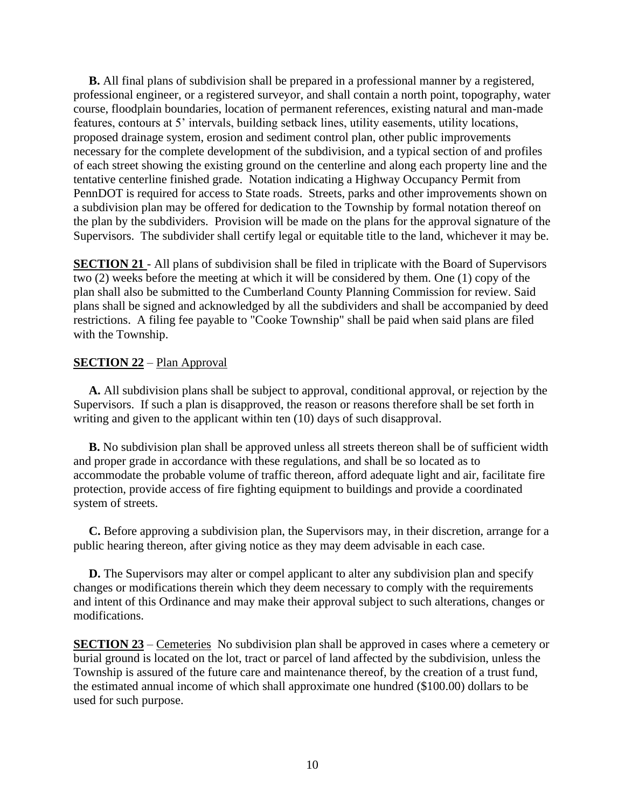**B.** All final plans of subdivision shall be prepared in a professional manner by a registered, professional engineer, or a registered surveyor, and shall contain a north point, topography, water course, floodplain boundaries, location of permanent references, existing natural and man-made features, contours at 5' intervals, building setback lines, utility easements, utility locations, proposed drainage system, erosion and sediment control plan, other public improvements necessary for the complete development of the subdivision, and a typical section of and profiles of each street showing the existing ground on the centerline and along each property line and the tentative centerline finished grade. Notation indicating a Highway Occupancy Permit from PennDOT is required for access to State roads. Streets, parks and other improvements shown on a subdivision plan may be offered for dedication to the Township by formal notation thereof on the plan by the subdividers. Provision will be made on the plans for the approval signature of the Supervisors. The subdivider shall certify legal or equitable title to the land, whichever it may be.

**SECTION 21** - All plans of subdivision shall be filed in triplicate with the Board of Supervisors two (2) weeks before the meeting at which it will be considered by them. One (1) copy of the plan shall also be submitted to the Cumberland County Planning Commission for review. Said plans shall be signed and acknowledged by all the subdividers and shall be accompanied by deed restrictions. A filing fee payable to "Cooke Township" shall be paid when said plans are filed with the Township.

# **SECTION 22** – Plan Approval

 **A.** All subdivision plans shall be subject to approval, conditional approval, or rejection by the Supervisors. If such a plan is disapproved, the reason or reasons therefore shall be set forth in writing and given to the applicant within ten (10) days of such disapproval.

 **B.** No subdivision plan shall be approved unless all streets thereon shall be of sufficient width and proper grade in accordance with these regulations, and shall be so located as to accommodate the probable volume of traffic thereon, afford adequate light and air, facilitate fire protection, provide access of fire fighting equipment to buildings and provide a coordinated system of streets.

 **C.** Before approving a subdivision plan, the Supervisors may, in their discretion, arrange for a public hearing thereon, after giving notice as they may deem advisable in each case.

 **D.** The Supervisors may alter or compel applicant to alter any subdivision plan and specify changes or modifications therein which they deem necessary to comply with the requirements and intent of this Ordinance and may make their approval subject to such alterations, changes or modifications.

**SECTION 23** – Cemeteries No subdivision plan shall be approved in cases where a cemetery or burial ground is located on the lot, tract or parcel of land affected by the subdivision, unless the Township is assured of the future care and maintenance thereof, by the creation of a trust fund, the estimated annual income of which shall approximate one hundred (\$100.00) dollars to be used for such purpose.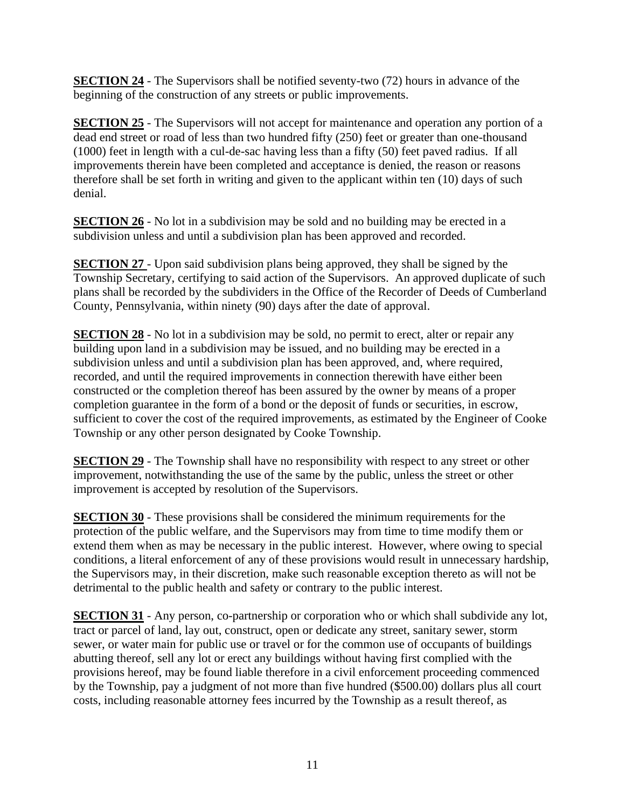**SECTION 24** - The Supervisors shall be notified seventy-two (72) hours in advance of the beginning of the construction of any streets or public improvements.

**SECTION 25** - The Supervisors will not accept for maintenance and operation any portion of a dead end street or road of less than two hundred fifty (250) feet or greater than one-thousand (1000) feet in length with a cul-de-sac having less than a fifty (50) feet paved radius. If all improvements therein have been completed and acceptance is denied, the reason or reasons therefore shall be set forth in writing and given to the applicant within ten (10) days of such denial.

**SECTION 26** - No lot in a subdivision may be sold and no building may be erected in a subdivision unless and until a subdivision plan has been approved and recorded.

**SECTION 27** - Upon said subdivision plans being approved, they shall be signed by the Township Secretary, certifying to said action of the Supervisors. An approved duplicate of such plans shall be recorded by the subdividers in the Office of the Recorder of Deeds of Cumberland County, Pennsylvania, within ninety (90) days after the date of approval.

**SECTION 28** - No lot in a subdivision may be sold, no permit to erect, alter or repair any building upon land in a subdivision may be issued, and no building may be erected in a subdivision unless and until a subdivision plan has been approved, and, where required, recorded, and until the required improvements in connection therewith have either been constructed or the completion thereof has been assured by the owner by means of a proper completion guarantee in the form of a bond or the deposit of funds or securities, in escrow, sufficient to cover the cost of the required improvements, as estimated by the Engineer of Cooke Township or any other person designated by Cooke Township.

**SECTION 29** - The Township shall have no responsibility with respect to any street or other improvement, notwithstanding the use of the same by the public, unless the street or other improvement is accepted by resolution of the Supervisors.

**SECTION 30** - These provisions shall be considered the minimum requirements for the protection of the public welfare, and the Supervisors may from time to time modify them or extend them when as may be necessary in the public interest. However, where owing to special conditions, a literal enforcement of any of these provisions would result in unnecessary hardship, the Supervisors may, in their discretion, make such reasonable exception thereto as will not be detrimental to the public health and safety or contrary to the public interest.

**SECTION 31** - Any person, co-partnership or corporation who or which shall subdivide any lot, tract or parcel of land, lay out, construct, open or dedicate any street, sanitary sewer, storm sewer, or water main for public use or travel or for the common use of occupants of buildings abutting thereof, sell any lot or erect any buildings without having first complied with the provisions hereof, may be found liable therefore in a civil enforcement proceeding commenced by the Township, pay a judgment of not more than five hundred (\$500.00) dollars plus all court costs, including reasonable attorney fees incurred by the Township as a result thereof, as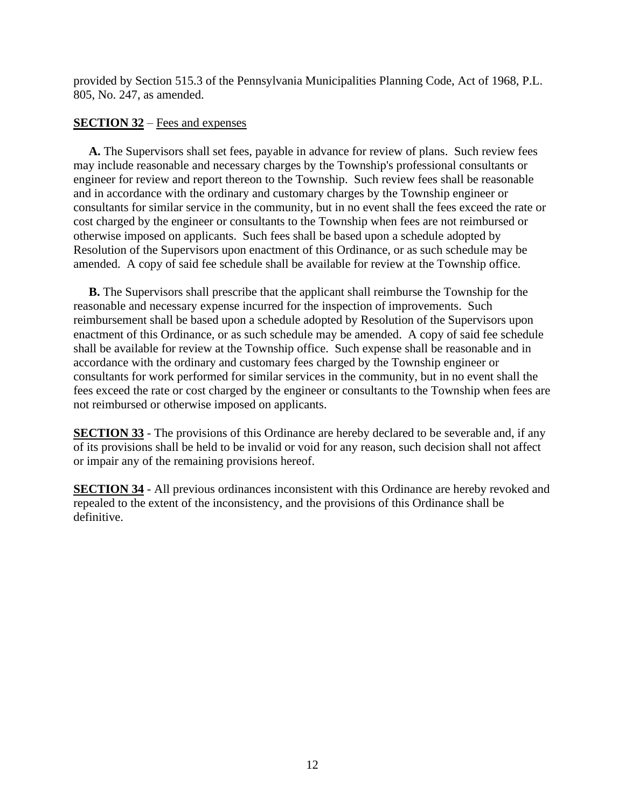provided by Section 515.3 of the Pennsylvania Municipalities Planning Code, Act of 1968, P.L. 805, No. 247, as amended.

# **SECTION 32** – Fees and expenses

 **A.** The Supervisors shall set fees, payable in advance for review of plans. Such review fees may include reasonable and necessary charges by the Township's professional consultants or engineer for review and report thereon to the Township. Such review fees shall be reasonable and in accordance with the ordinary and customary charges by the Township engineer or consultants for similar service in the community, but in no event shall the fees exceed the rate or cost charged by the engineer or consultants to the Township when fees are not reimbursed or otherwise imposed on applicants. Such fees shall be based upon a schedule adopted by Resolution of the Supervisors upon enactment of this Ordinance, or as such schedule may be amended. A copy of said fee schedule shall be available for review at the Township office.

**B.** The Supervisors shall prescribe that the applicant shall reimburse the Township for the reasonable and necessary expense incurred for the inspection of improvements. Such reimbursement shall be based upon a schedule adopted by Resolution of the Supervisors upon enactment of this Ordinance, or as such schedule may be amended. A copy of said fee schedule shall be available for review at the Township office. Such expense shall be reasonable and in accordance with the ordinary and customary fees charged by the Township engineer or consultants for work performed for similar services in the community, but in no event shall the fees exceed the rate or cost charged by the engineer or consultants to the Township when fees are not reimbursed or otherwise imposed on applicants.

**SECTION 33** - The provisions of this Ordinance are hereby declared to be severable and, if any of its provisions shall be held to be invalid or void for any reason, such decision shall not affect or impair any of the remaining provisions hereof.

**SECTION 34** - All previous ordinances inconsistent with this Ordinance are hereby revoked and repealed to the extent of the inconsistency, and the provisions of this Ordinance shall be definitive.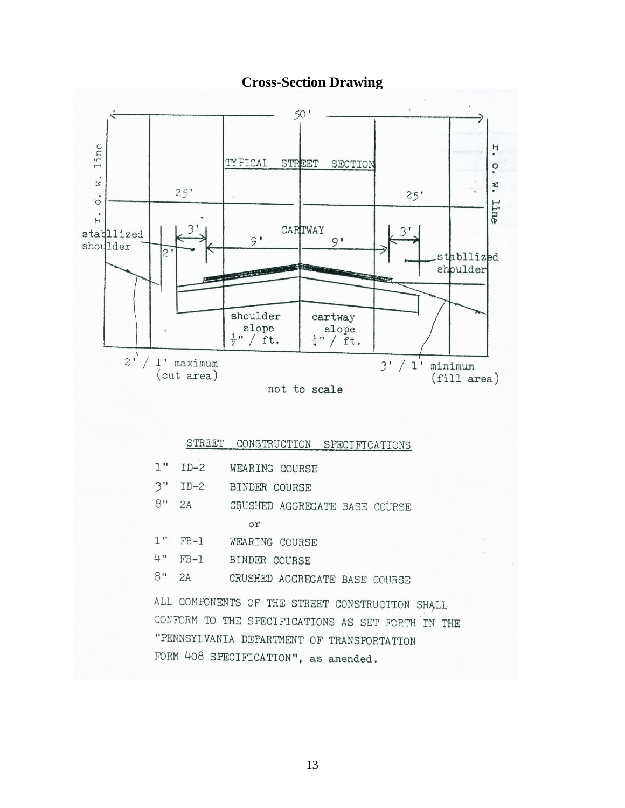# **Cross-Section Drawing**



#### CONSTRUCTION SPECIFICATIONS STREET

| 1"    | $ID-2$ | WEARING COURSE                                    |  |
|-------|--------|---------------------------------------------------|--|
|       |        | 3" ID-2 BINDER COURSE                             |  |
| $8$ " | 2A     | CRUSHED AGGREGATE BASE COURSE                     |  |
|       |        | or                                                |  |
|       |        | 1" FB-1 WEARING COURSE                            |  |
|       |        | 4" FB-1 BINDER COURSE                             |  |
| $8$ " |        | 2A CRUSHED AGGREGATE BASE COURSE                  |  |
|       |        | ALL COMPONENTS OF THE STREET CONSTRUCTION SHALL   |  |
|       |        | CONFORM TO THE SPECIFICATIONS AS SET FORTH IN THE |  |
|       |        | "PENNSYLVANIA DEPARTMENT OF TRANSPORTATION        |  |
|       |        | FORM 408 SPECIFICATION", as amended.              |  |
|       |        |                                                   |  |